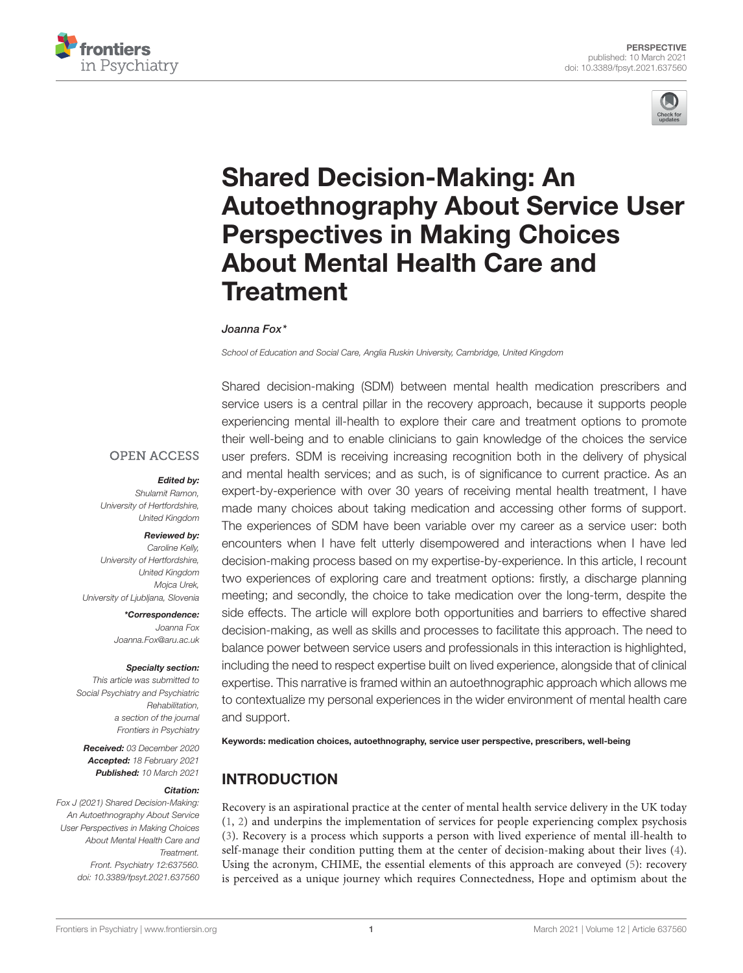



# Shared Decision-Making: An [Autoethnography About Service User](https://www.frontiersin.org/articles/10.3389/fpsyt.2021.637560/full) Perspectives in Making Choices About Mental Health Care and **Treatment**

#### Joanna Fox\*

*School of Education and Social Care, Anglia Ruskin University, Cambridge, United Kingdom*

Shared decision-making (SDM) between mental health medication prescribers and service users is a central pillar in the recovery approach, because it supports people experiencing mental ill-health to explore their care and treatment options to promote their well-being and to enable clinicians to gain knowledge of the choices the service user prefers. SDM is receiving increasing recognition both in the delivery of physical and mental health services; and as such, is of significance to current practice. As an expert-by-experience with over 30 years of receiving mental health treatment, I have made many choices about taking medication and accessing other forms of support. The experiences of SDM have been variable over my career as a service user: both encounters when I have felt utterly disempowered and interactions when I have led decision-making process based on my expertise-by-experience. In this article, I recount two experiences of exploring care and treatment options: firstly, a discharge planning meeting; and secondly, the choice to take medication over the long-term, despite the side effects. The article will explore both opportunities and barriers to effective shared decision-making, as well as skills and processes to facilitate this approach. The need to balance power between service users and professionals in this interaction is highlighted, including the need to respect expertise built on lived experience, alongside that of clinical expertise. This narrative is framed within an autoethnographic approach which allows me to contextualize my personal experiences in the wider environment of mental health care and support.

Keywords: medication choices, autoethnography, service user perspective, prescribers, well-being

## INTRODUCTION

Recovery is an aspirational practice at the center of mental health service delivery in the UK today [\(1,](#page-4-0) [2\)](#page-4-1) and underpins the implementation of services for people experiencing complex psychosis [\(3\)](#page-4-2). Recovery is a process which supports a person with lived experience of mental ill-health to self-manage their condition putting them at the center of decision-making about their lives [\(4\)](#page-4-3). Using the acronym, CHIME, the essential elements of this approach are conveyed [\(5\)](#page-4-4): recovery is perceived as a unique journey which requires Connectedness, Hope and optimism about the

#### **OPEN ACCESS**

#### Edited by:

*Shulamit Ramon, University of Hertfordshire, United Kingdom*

#### Reviewed by:

*Caroline Kelly, University of Hertfordshire, United Kingdom Mojca Urek, University of Ljubljana, Slovenia*

> \*Correspondence: *Joanna Fox [Joanna.Fox@aru.ac.uk](mailto:Joanna.Fox@aru.ac.uk)*

#### Specialty section:

*This article was submitted to Social Psychiatry and Psychiatric Rehabilitation, a section of the journal Frontiers in Psychiatry*

Received: *03 December 2020* Accepted: *18 February 2021* Published: *10 March 2021*

#### Citation:

*Fox J (2021) Shared Decision-Making: An Autoethnography About Service User Perspectives in Making Choices About Mental Health Care and Treatment. Front. Psychiatry 12:637560. doi: [10.3389/fpsyt.2021.637560](https://doi.org/10.3389/fpsyt.2021.637560)*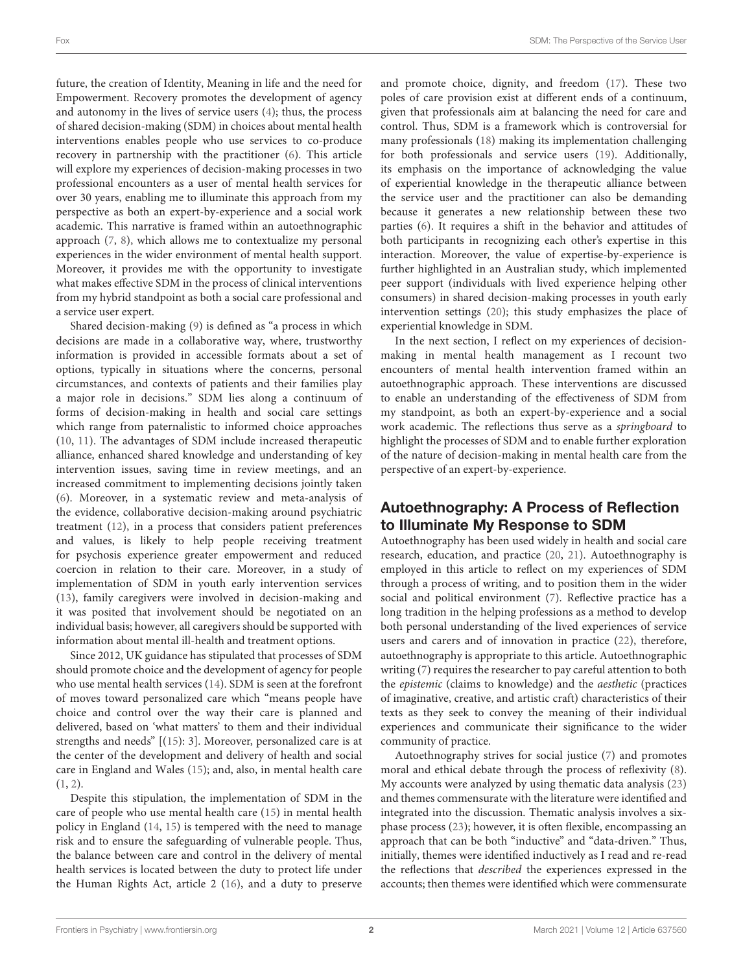future, the creation of Identity, Meaning in life and the need for Empowerment. Recovery promotes the development of agency and autonomy in the lives of service users [\(4\)](#page-4-3); thus, the process of shared decision-making (SDM) in choices about mental health interventions enables people who use services to co-produce recovery in partnership with the practitioner [\(6\)](#page-4-5). This article will explore my experiences of decision-making processes in two professional encounters as a user of mental health services for over 30 years, enabling me to illuminate this approach from my perspective as both an expert-by-experience and a social work academic. This narrative is framed within an autoethnographic approach [\(7,](#page-4-6) [8\)](#page-4-7), which allows me to contextualize my personal experiences in the wider environment of mental health support. Moreover, it provides me with the opportunity to investigate what makes effective SDM in the process of clinical interventions from my hybrid standpoint as both a social care professional and a service user expert.

Shared decision-making [\(9\)](#page-4-8) is defined as "a process in which decisions are made in a collaborative way, where, trustworthy information is provided in accessible formats about a set of options, typically in situations where the concerns, personal circumstances, and contexts of patients and their families play a major role in decisions." SDM lies along a continuum of forms of decision-making in health and social care settings which range from paternalistic to informed choice approaches [\(10,](#page-4-9) [11\)](#page-4-10). The advantages of SDM include increased therapeutic alliance, enhanced shared knowledge and understanding of key intervention issues, saving time in review meetings, and an increased commitment to implementing decisions jointly taken [\(6\)](#page-4-5). Moreover, in a systematic review and meta-analysis of the evidence, collaborative decision-making around psychiatric treatment [\(12\)](#page-4-11), in a process that considers patient preferences and values, is likely to help people receiving treatment for psychosis experience greater empowerment and reduced coercion in relation to their care. Moreover, in a study of implementation of SDM in youth early intervention services [\(13\)](#page-4-12), family caregivers were involved in decision-making and it was posited that involvement should be negotiated on an individual basis; however, all caregivers should be supported with information about mental ill-health and treatment options.

Since 2012, UK guidance has stipulated that processes of SDM should promote choice and the development of agency for people who use mental health services [\(14\)](#page-4-13). SDM is seen at the forefront of moves toward personalized care which "means people have choice and control over the way their care is planned and delivered, based on 'what matters' to them and their individual strengths and needs" [[\(15\)](#page-4-14): 3]. Moreover, personalized care is at the center of the development and delivery of health and social care in England and Wales [\(15\)](#page-4-14); and, also, in mental health care [\(1,](#page-4-0) [2\)](#page-4-1).

Despite this stipulation, the implementation of SDM in the care of people who use mental health care [\(15\)](#page-4-14) in mental health policy in England [\(14,](#page-4-13) [15\)](#page-4-14) is tempered with the need to manage risk and to ensure the safeguarding of vulnerable people. Thus, the balance between care and control in the delivery of mental health services is located between the duty to protect life under the Human Rights Act, article 2 [\(16\)](#page-4-15), and a duty to preserve and promote choice, dignity, and freedom [\(17\)](#page-4-16). These two poles of care provision exist at different ends of a continuum, given that professionals aim at balancing the need for care and control. Thus, SDM is a framework which is controversial for many professionals [\(18\)](#page-4-17) making its implementation challenging for both professionals and service users [\(19\)](#page-4-18). Additionally, its emphasis on the importance of acknowledging the value of experiential knowledge in the therapeutic alliance between the service user and the practitioner can also be demanding because it generates a new relationship between these two parties [\(6\)](#page-4-5). It requires a shift in the behavior and attitudes of both participants in recognizing each other's expertise in this interaction. Moreover, the value of expertise-by-experience is further highlighted in an Australian study, which implemented peer support (individuals with lived experience helping other consumers) in shared decision-making processes in youth early intervention settings [\(20\)](#page-4-19); this study emphasizes the place of experiential knowledge in SDM.

In the next section, I reflect on my experiences of decisionmaking in mental health management as I recount two encounters of mental health intervention framed within an autoethnographic approach. These interventions are discussed to enable an understanding of the effectiveness of SDM from my standpoint, as both an expert-by-experience and a social work academic. The reflections thus serve as a springboard to highlight the processes of SDM and to enable further exploration of the nature of decision-making in mental health care from the perspective of an expert-by-experience.

## Autoethnography: A Process of Reflection to Illuminate My Response to SDM

Autoethnography has been used widely in health and social care research, education, and practice [\(20,](#page-4-19) [21\)](#page-4-20). Autoethnography is employed in this article to reflect on my experiences of SDM through a process of writing, and to position them in the wider social and political environment [\(7\)](#page-4-6). Reflective practice has a long tradition in the helping professions as a method to develop both personal understanding of the lived experiences of service users and carers and of innovation in practice [\(22\)](#page-4-21), therefore, autoethnography is appropriate to this article. Autoethnographic writing [\(7\)](#page-4-6) requires the researcher to pay careful attention to both the epistemic (claims to knowledge) and the aesthetic (practices of imaginative, creative, and artistic craft) characteristics of their texts as they seek to convey the meaning of their individual experiences and communicate their significance to the wider community of practice.

Autoethnography strives for social justice [\(7\)](#page-4-6) and promotes moral and ethical debate through the process of reflexivity [\(8\)](#page-4-7). My accounts were analyzed by using thematic data analysis [\(23\)](#page-4-22) and themes commensurate with the literature were identified and integrated into the discussion. Thematic analysis involves a sixphase process [\(23\)](#page-4-22); however, it is often flexible, encompassing an approach that can be both "inductive" and "data-driven." Thus, initially, themes were identified inductively as I read and re-read the reflections that described the experiences expressed in the accounts; then themes were identified which were commensurate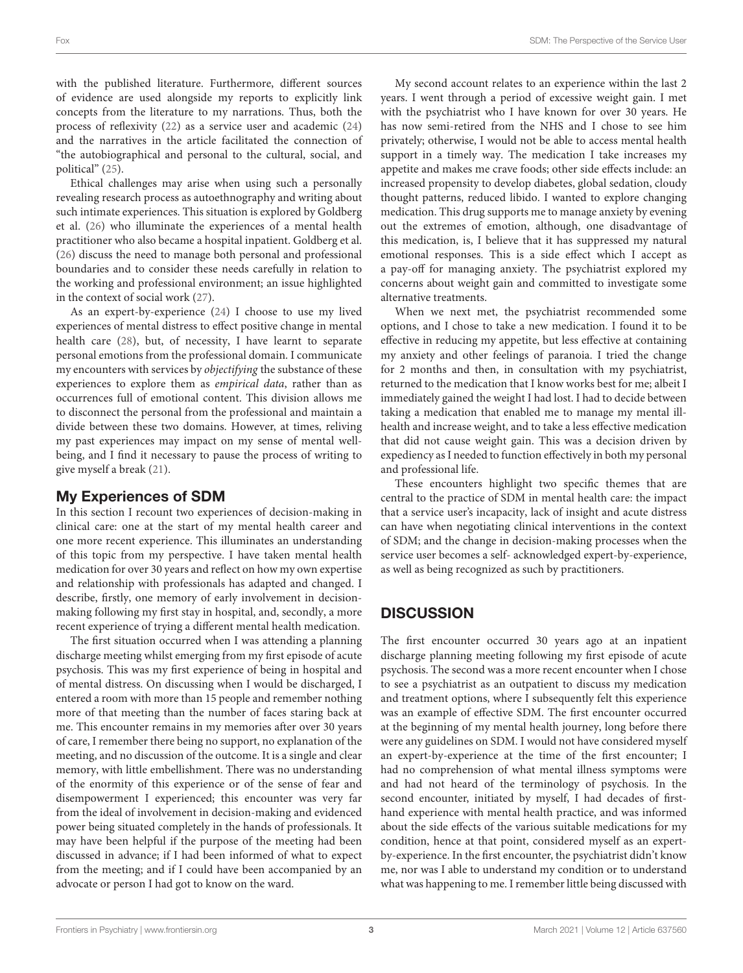with the published literature. Furthermore, different sources of evidence are used alongside my reports to explicitly link concepts from the literature to my narrations. Thus, both the process of reflexivity [\(22\)](#page-4-21) as a service user and academic [\(24\)](#page-4-23) and the narratives in the article facilitated the connection of "the autobiographical and personal to the cultural, social, and political" [\(25\)](#page-4-24).

Ethical challenges may arise when using such a personally revealing research process as autoethnography and writing about such intimate experiences. This situation is explored by Goldberg et al. [\(26\)](#page-4-25) who illuminate the experiences of a mental health practitioner who also became a hospital inpatient. Goldberg et al. [\(26\)](#page-4-25) discuss the need to manage both personal and professional boundaries and to consider these needs carefully in relation to the working and professional environment; an issue highlighted in the context of social work [\(27\)](#page-4-26).

As an expert-by-experience [\(24\)](#page-4-23) I choose to use my lived experiences of mental distress to effect positive change in mental health care [\(28\)](#page-5-0), but, of necessity, I have learnt to separate personal emotions from the professional domain. I communicate my encounters with services by objectifying the substance of these experiences to explore them as empirical data, rather than as occurrences full of emotional content. This division allows me to disconnect the personal from the professional and maintain a divide between these two domains. However, at times, reliving my past experiences may impact on my sense of mental wellbeing, and I find it necessary to pause the process of writing to give myself a break [\(21\)](#page-4-20).

## My Experiences of SDM

In this section I recount two experiences of decision-making in clinical care: one at the start of my mental health career and one more recent experience. This illuminates an understanding of this topic from my perspective. I have taken mental health medication for over 30 years and reflect on how my own expertise and relationship with professionals has adapted and changed. I describe, firstly, one memory of early involvement in decisionmaking following my first stay in hospital, and, secondly, a more recent experience of trying a different mental health medication.

The first situation occurred when I was attending a planning discharge meeting whilst emerging from my first episode of acute psychosis. This was my first experience of being in hospital and of mental distress. On discussing when I would be discharged, I entered a room with more than 15 people and remember nothing more of that meeting than the number of faces staring back at me. This encounter remains in my memories after over 30 years of care, I remember there being no support, no explanation of the meeting, and no discussion of the outcome. It is a single and clear memory, with little embellishment. There was no understanding of the enormity of this experience or of the sense of fear and disempowerment I experienced; this encounter was very far from the ideal of involvement in decision-making and evidenced power being situated completely in the hands of professionals. It may have been helpful if the purpose of the meeting had been discussed in advance; if I had been informed of what to expect from the meeting; and if I could have been accompanied by an advocate or person I had got to know on the ward.

My second account relates to an experience within the last 2 years. I went through a period of excessive weight gain. I met with the psychiatrist who I have known for over 30 years. He has now semi-retired from the NHS and I chose to see him privately; otherwise, I would not be able to access mental health support in a timely way. The medication I take increases my appetite and makes me crave foods; other side effects include: an increased propensity to develop diabetes, global sedation, cloudy thought patterns, reduced libido. I wanted to explore changing medication. This drug supports me to manage anxiety by evening out the extremes of emotion, although, one disadvantage of this medication, is, I believe that it has suppressed my natural emotional responses. This is a side effect which I accept as a pay-off for managing anxiety. The psychiatrist explored my concerns about weight gain and committed to investigate some alternative treatments.

When we next met, the psychiatrist recommended some options, and I chose to take a new medication. I found it to be effective in reducing my appetite, but less effective at containing my anxiety and other feelings of paranoia. I tried the change for 2 months and then, in consultation with my psychiatrist, returned to the medication that I know works best for me; albeit I immediately gained the weight I had lost. I had to decide between taking a medication that enabled me to manage my mental illhealth and increase weight, and to take a less effective medication that did not cause weight gain. This was a decision driven by expediency as I needed to function effectively in both my personal and professional life.

These encounters highlight two specific themes that are central to the practice of SDM in mental health care: the impact that a service user's incapacity, lack of insight and acute distress can have when negotiating clinical interventions in the context of SDM; and the change in decision-making processes when the service user becomes a self- acknowledged expert-by-experience, as well as being recognized as such by practitioners.

# **DISCUSSION**

The first encounter occurred 30 years ago at an inpatient discharge planning meeting following my first episode of acute psychosis. The second was a more recent encounter when I chose to see a psychiatrist as an outpatient to discuss my medication and treatment options, where I subsequently felt this experience was an example of effective SDM. The first encounter occurred at the beginning of my mental health journey, long before there were any guidelines on SDM. I would not have considered myself an expert-by-experience at the time of the first encounter; I had no comprehension of what mental illness symptoms were and had not heard of the terminology of psychosis. In the second encounter, initiated by myself, I had decades of firsthand experience with mental health practice, and was informed about the side effects of the various suitable medications for my condition, hence at that point, considered myself as an expertby-experience. In the first encounter, the psychiatrist didn't know me, nor was I able to understand my condition or to understand what was happening to me. I remember little being discussed with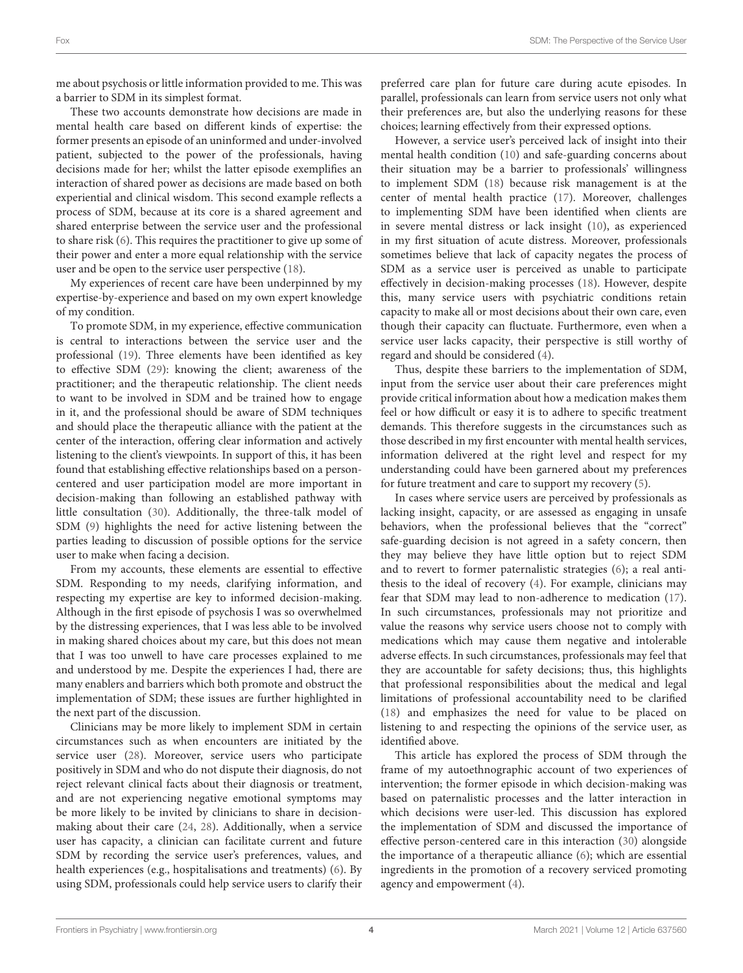me about psychosis or little information provided to me. This was a barrier to SDM in its simplest format.

These two accounts demonstrate how decisions are made in mental health care based on different kinds of expertise: the former presents an episode of an uninformed and under-involved patient, subjected to the power of the professionals, having decisions made for her; whilst the latter episode exemplifies an interaction of shared power as decisions are made based on both experiential and clinical wisdom. This second example reflects a process of SDM, because at its core is a shared agreement and shared enterprise between the service user and the professional to share risk [\(6\)](#page-4-5). This requires the practitioner to give up some of their power and enter a more equal relationship with the service user and be open to the service user perspective [\(18\)](#page-4-17).

My experiences of recent care have been underpinned by my expertise-by-experience and based on my own expert knowledge of my condition.

To promote SDM, in my experience, effective communication is central to interactions between the service user and the professional [\(19\)](#page-4-18). Three elements have been identified as key to effective SDM [\(29\)](#page-5-1): knowing the client; awareness of the practitioner; and the therapeutic relationship. The client needs to want to be involved in SDM and be trained how to engage in it, and the professional should be aware of SDM techniques and should place the therapeutic alliance with the patient at the center of the interaction, offering clear information and actively listening to the client's viewpoints. In support of this, it has been found that establishing effective relationships based on a personcentered and user participation model are more important in decision-making than following an established pathway with little consultation [\(30\)](#page-5-2). Additionally, the three-talk model of SDM [\(9\)](#page-4-8) highlights the need for active listening between the parties leading to discussion of possible options for the service user to make when facing a decision.

From my accounts, these elements are essential to effective SDM. Responding to my needs, clarifying information, and respecting my expertise are key to informed decision-making. Although in the first episode of psychosis I was so overwhelmed by the distressing experiences, that I was less able to be involved in making shared choices about my care, but this does not mean that I was too unwell to have care processes explained to me and understood by me. Despite the experiences I had, there are many enablers and barriers which both promote and obstruct the implementation of SDM; these issues are further highlighted in the next part of the discussion.

Clinicians may be more likely to implement SDM in certain circumstances such as when encounters are initiated by the service user [\(28\)](#page-5-0). Moreover, service users who participate positively in SDM and who do not dispute their diagnosis, do not reject relevant clinical facts about their diagnosis or treatment, and are not experiencing negative emotional symptoms may be more likely to be invited by clinicians to share in decisionmaking about their care [\(24,](#page-4-23) [28\)](#page-5-0). Additionally, when a service user has capacity, a clinician can facilitate current and future SDM by recording the service user's preferences, values, and health experiences (e.g., hospitalisations and treatments) [\(6\)](#page-4-5). By using SDM, professionals could help service users to clarify their preferred care plan for future care during acute episodes. In parallel, professionals can learn from service users not only what their preferences are, but also the underlying reasons for these choices; learning effectively from their expressed options.

However, a service user's perceived lack of insight into their mental health condition [\(10\)](#page-4-9) and safe-guarding concerns about their situation may be a barrier to professionals' willingness to implement SDM [\(18\)](#page-4-17) because risk management is at the center of mental health practice [\(17\)](#page-4-16). Moreover, challenges to implementing SDM have been identified when clients are in severe mental distress or lack insight [\(10\)](#page-4-9), as experienced in my first situation of acute distress. Moreover, professionals sometimes believe that lack of capacity negates the process of SDM as a service user is perceived as unable to participate effectively in decision-making processes [\(18\)](#page-4-17). However, despite this, many service users with psychiatric conditions retain capacity to make all or most decisions about their own care, even though their capacity can fluctuate. Furthermore, even when a service user lacks capacity, their perspective is still worthy of regard and should be considered [\(4\)](#page-4-3).

Thus, despite these barriers to the implementation of SDM, input from the service user about their care preferences might provide critical information about how a medication makes them feel or how difficult or easy it is to adhere to specific treatment demands. This therefore suggests in the circumstances such as those described in my first encounter with mental health services, information delivered at the right level and respect for my understanding could have been garnered about my preferences for future treatment and care to support my recovery [\(5\)](#page-4-4).

In cases where service users are perceived by professionals as lacking insight, capacity, or are assessed as engaging in unsafe behaviors, when the professional believes that the "correct" safe-guarding decision is not agreed in a safety concern, then they may believe they have little option but to reject SDM and to revert to former paternalistic strategies [\(6\)](#page-4-5); a real antithesis to the ideal of recovery [\(4\)](#page-4-3). For example, clinicians may fear that SDM may lead to non-adherence to medication [\(17\)](#page-4-16). In such circumstances, professionals may not prioritize and value the reasons why service users choose not to comply with medications which may cause them negative and intolerable adverse effects. In such circumstances, professionals may feel that they are accountable for safety decisions; thus, this highlights that professional responsibilities about the medical and legal limitations of professional accountability need to be clarified [\(18\)](#page-4-17) and emphasizes the need for value to be placed on listening to and respecting the opinions of the service user, as identified above.

This article has explored the process of SDM through the frame of my autoethnographic account of two experiences of intervention; the former episode in which decision-making was based on paternalistic processes and the latter interaction in which decisions were user-led. This discussion has explored the implementation of SDM and discussed the importance of effective person-centered care in this interaction [\(30\)](#page-5-2) alongside the importance of a therapeutic alliance [\(6\)](#page-4-5); which are essential ingredients in the promotion of a recovery serviced promoting agency and empowerment [\(4\)](#page-4-3).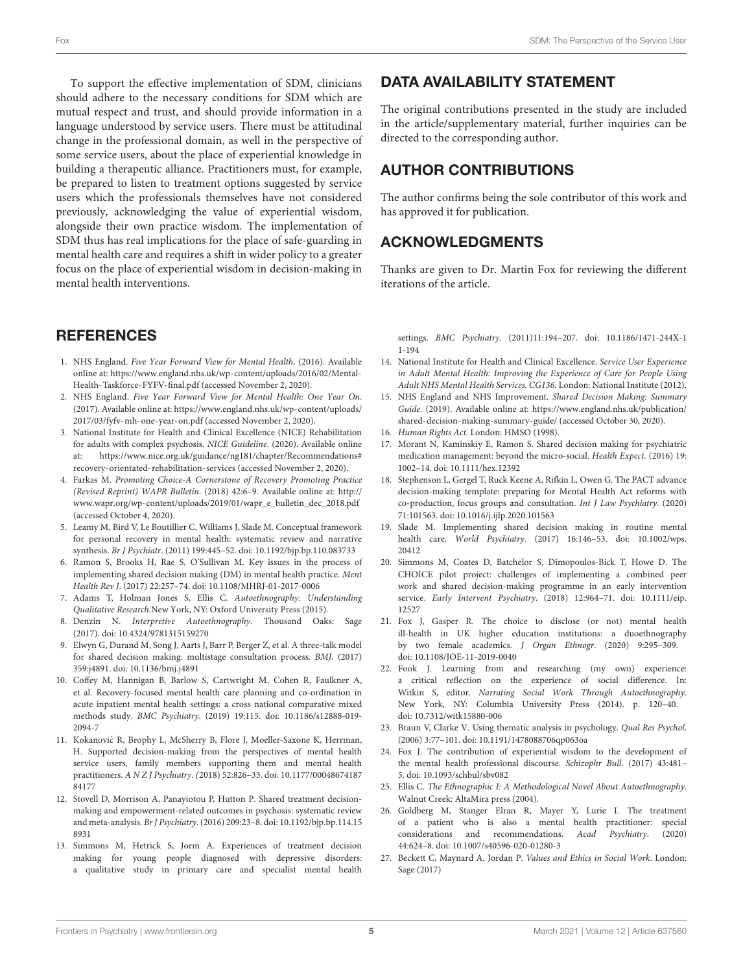To support the effective implementation of SDM, clinicians should adhere to the necessary conditions for SDM which are mutual respect and trust, and should provide information in a language understood by service users. There must be attitudinal change in the professional domain, as well in the perspective of some service users, about the place of experiential knowledge in building a therapeutic alliance. Practitioners must, for example, be prepared to listen to treatment options suggested by service users which the professionals themselves have not considered previously, acknowledging the value of experiential wisdom, alongside their own practice wisdom. The implementation of SDM thus has real implications for the place of safe-guarding in mental health care and requires a shift in wider policy to a greater focus on the place of experiential wisdom in decision-making in mental health interventions.

## **REFERENCES**

- <span id="page-4-0"></span>1. NHS England. Five Year Forward View for Mental Health. (2016). Available online at: [https://www.england.nhs.uk/wp-content/uploads/2016/02/Mental-](https://www.england.nhs.uk/wp-content/uploads/2016/02/Mental-Health-Taskforce-FYFV-final.pdf)[Health-Taskforce-FYFV-final.pdf](https://www.england.nhs.uk/wp-content/uploads/2016/02/Mental-Health-Taskforce-FYFV-final.pdf) (accessed November 2, 2020).
- <span id="page-4-1"></span>2. NHS England. Five Year Forward View for Mental Health: One Year On. (2017). Available online at: [https://www.england.nhs.uk/wp-content/uploads/](https://www.england.nhs.uk/wp-content/uploads/2017/03/fyfv-mh-one-year-on.pdf) [2017/03/fyfv-mh-one-year-on.pdf](https://www.england.nhs.uk/wp-content/uploads/2017/03/fyfv-mh-one-year-on.pdf) (accessed November 2, 2020).
- <span id="page-4-2"></span>3. National Institute for Health and Clinical Excellence (NICE) Rehabilitation for adults with complex psychosis. NICE Guideline. (2020). Available online at: [https://www.nice.org.uk/guidance/ng181/chapter/Recommendations#](https://www.nice.org.uk/guidance/ng181/chapter/Recommendations#recovery-orientated-rehabilitation-services) [recovery-orientated-rehabilitation-services](https://www.nice.org.uk/guidance/ng181/chapter/Recommendations#recovery-orientated-rehabilitation-services) (accessed November 2, 2020).
- <span id="page-4-3"></span>4. Farkas M. Promoting Choice-A Cornerstone of Recovery Promoting Practice (Revised Reprint) WAPR Bulletin. (2018) 42:6–9. Available online at: [http://](http://www.wapr.org/wp-content/uploads/2019/01/wapr_e_bulletin_dec_2018.pdf) [www.wapr.org/wp-content/uploads/2019/01/wapr\\_e\\_bulletin\\_dec\\_2018.pdf](http://www.wapr.org/wp-content/uploads/2019/01/wapr_e_bulletin_dec_2018.pdf) (accessed October 4, 2020).
- <span id="page-4-4"></span>5. Leamy M, Bird V, Le Boutillier C, Williams J, Slade M. Conceptual framework for personal recovery in mental health: systematic review and narrative synthesis. Br J Psychiatr. (2011) 199:445–52. doi: [10.1192/bjp.bp.110.083733](https://doi.org/10.1192/bjp.bp.110.083733)
- <span id="page-4-5"></span>6. Ramon S, Brooks H, Rae S, O'Sullivan M. Key issues in the process of implementing shared decision making (DM) in mental health practice. Ment Health Rev J. (2017) 22:257–74. doi: [10.1108/MHRJ-01-2017-0006](https://doi.org/10.1108/MHRJ-01-2017-0006)
- <span id="page-4-6"></span>7. Adams T, Holman Jones S, Ellis C. Autoethnography: Understanding Qualitative Research.New York, NY: Oxford University Press (2015).
- <span id="page-4-7"></span>8. Denzin N. Interpretive Autoethnography. Thousand Oaks: Sage (2017). doi: [10.4324/9781315159270](https://doi.org/10.4324/9781315159270)
- <span id="page-4-8"></span>9. Elwyn G, Durand M, Song J, Aarts J, Barr P, Berger Z, et al. A three-talk model for shared decision making: multistage consultation process. BMJ. (2017) 359:j4891. doi: [10.1136/bmj.j4891](https://doi.org/10.1136/bmj.j4891)
- <span id="page-4-9"></span>10. Coffey M, Hannigan B, Barlow S, Cartwright M, Cohen R, Faulkner A, et al. Recovery-focused mental health care planning and co-ordination in acute inpatient mental health settings: a cross national comparative mixed methods study. BMC Psychiatry[. \(2019\) 19:115. doi: 10.1186/s12888-019-](https://doi.org/10.1186/s12888-019-2094-7) 2094-7
- <span id="page-4-10"></span>11. Kokanović R, Brophy L, McSherry B, Flore J, Moeller-Saxone K, Herrman, H. Supported decision-making from the perspectives of mental health service users, family members supporting them and mental health practitioners. A N Z J Psychiatry. ([2018\) 52:826–33. doi: 10.1177/00048674187](https://doi.org/10.1177/0004867418784177) 84177
- <span id="page-4-11"></span>12. Stovell D, Morrison A, Panayiotou P, Hutton P. Shared treatment decisionmaking and empowerment-related outcomes in psychosis: systematic review and meta-analysis. Br J Psychiatry[. \(2016\) 209:23–8. doi: 10.1192/bjp.bp.114.15](https://doi.org/10.1192/bjp.bp.114.158931) 8931
- <span id="page-4-12"></span>13. Simmons M, Hetrick S, Jorm A. Experiences of treatment decision making for young people diagnosed with depressive disorders: a qualitative study in primary care and specialist mental health

## DATA AVAILABILITY STATEMENT

The original contributions presented in the study are included in the article/supplementary material, further inquiries can be directed to the corresponding author.

## AUTHOR CONTRIBUTIONS

The author confirms being the sole contributor of this work and has approved it for publication.

## ACKNOWLEDGMENTS

Thanks are given to Dr. Martin Fox for reviewing the different iterations of the article.

settings. BMC Psychiatry[. \(2011\)11:194–207. doi: 10.1186/1471-244X-1](https://doi.org/10.1186/1471-244X-11-194) 1-194

- <span id="page-4-13"></span>14. National Institute for Health and Clinical Excellence. Service User Experience in Adult Mental Health: Improving the Experience of Care for People Using Adult NHS Mental Health Services. CG136. London: National Institute (2012).
- <span id="page-4-14"></span>15. NHS England and NHS Improvement. Shared Decision Making: Summary Guide. (2019). Available online at: [https://www.england.nhs.uk/publication/](https://www.england.nhs.uk/publication/shared-decision-making-summary-guide/) [shared-decision-making-summary-guide/](https://www.england.nhs.uk/publication/shared-decision-making-summary-guide/) (accessed October 30, 2020).
- <span id="page-4-15"></span>16. Human Rights Act. London: HMSO (1998).
- <span id="page-4-16"></span>17. Morant N, Kaminskiy E, Ramon S. Shared decision making for psychiatric medication management: beyond the micro-social. Health Expect. (2016) 19: 1002–14. doi: [10.1111/hex.12392](https://doi.org/10.1111/hex.12392)
- <span id="page-4-17"></span>18. Stephenson L, Gergel T, Ruck Keene A, Rifkin L, Owen G. The PACT advance decision-making template: preparing for Mental Health Act reforms with co-production, focus groups and consultation. Int J Law Psychiatry. (2020) 71:101563. doi: [10.1016/j.ijlp.2020.101563](https://doi.org/10.1016/j.ijlp.2020.101563)
- <span id="page-4-18"></span>19. Slade M. Implementing shared decision making in routine mental health care. World Psychiatry. [\(2017\) 16:146–53. doi: 10.1002/wps.](https://doi.org/10.1002/wps.20412) 20412
- <span id="page-4-19"></span>20. Simmons M, Coates D, Batchelor S, Dimopoulos-Bick T, Howe D. The CHOICE pilot project: challenges of implementing a combined peer work and shared decision-making programme in an early intervention service. Early Intervent Psychiatry. (2018) 12:964-71. doi: 10.1111/eip. 12527
- <span id="page-4-20"></span>21. Fox J, Gasper R. The choice to disclose (or not) mental health ill-health in UK higher education institutions: a duoethnography by two female academics. J Organ Ethnogr. (2020) 9:295–309. doi: [10.1108/JOE-11-2019-0040](https://doi.org/10.1108/JOE-11-2019-0040)
- <span id="page-4-21"></span>22. Fook J. Learning from and researching (my own) experience: a critical reflection on the experience of social difference. In: Witkin S, editor. Narrating Social Work Through Autoethnography. New York, NY: Columbia University Press (2014). p. 120–40. doi: [10.7312/witk15880-006](https://doi.org/10.7312/witk15880-006)
- <span id="page-4-22"></span>23. Braun V, Clarke V. Using thematic analysis in psychology. Qual Res Psychol. (2006) 3:77–101. doi: [10.1191/1478088706qp063oa](https://doi.org/10.1191/1478088706qp063oa)
- <span id="page-4-23"></span>24. Fox J. The contribution of experiential wisdom to the development of the mental health professional discourse. Schizophr Bull. (2017) 43:481– 5. doi: [10.1093/schbul/sbv082](https://doi.org/10.1093/schbul/sbv082)
- <span id="page-4-24"></span>25. Ellis C. The Ethnographic I: A Methodological Novel About Autoethnography. Walnut Creek: AltaMira press (2004).
- <span id="page-4-25"></span>26. Goldberg M, Stanger Elran R, Mayer Y, Lurie I. The treatment of a patient who is also a mental health practitioner: special considerations and recommendations. Acad Psychiatry. (2020) 44:624–8. doi: [10.1007/s40596-020-01280-3](https://doi.org/10.1007/s40596-020-01280-3)
- <span id="page-4-26"></span>27. Beckett C, Maynard A, Jordan P. Values and Ethics in Social Work. London: Sage (2017)